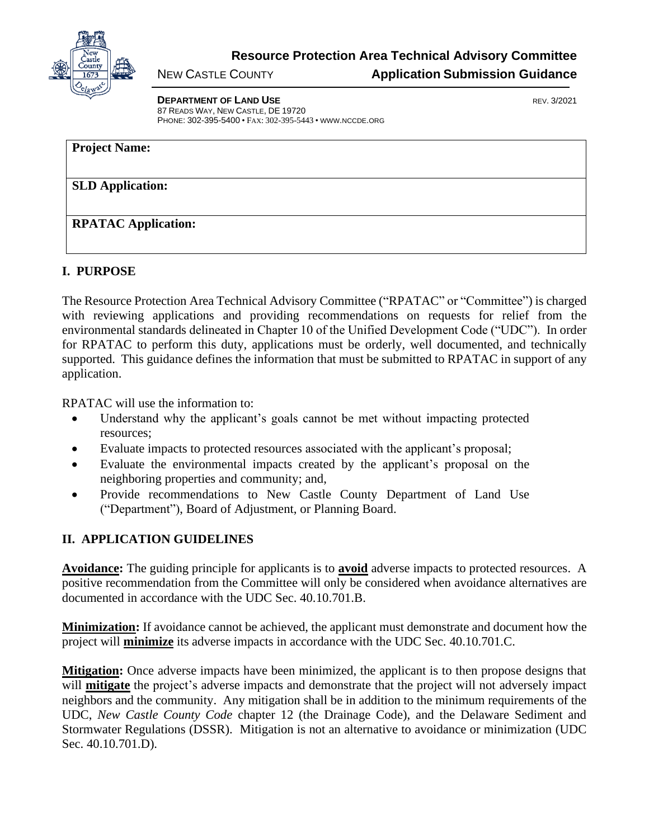

**Resource Protection Area Technical Advisory Committee**

## NEW CASTLE COUNTY **Application Submission Guidance**

**DEPARTMENT OF LAND USE EXAMPLE 20021** 87 READS WAY, NEW CASTLE, DE 19720 PHONE: 302-395-5400 • FAX: 302-395-5443 • WWW.NCCDE.ORG

| <b>Project Name:</b>       |  |  |
|----------------------------|--|--|
|                            |  |  |
| <b>SLD Application:</b>    |  |  |
|                            |  |  |
| <b>RPATAC Application:</b> |  |  |
|                            |  |  |

## **I. PURPOSE**

The Resource Protection Area Technical Advisory Committee ("RPATAC" or "Committee") is charged with reviewing applications and providing recommendations on requests for relief from the environmental standards delineated in Chapter 10 of the Unified Development Code ("UDC"). In order for RPATAC to perform this duty, applications must be orderly, well documented, and technically supported. This guidance defines the information that must be submitted to RPATAC in support of any application.

RPATAC will use the information to:

- Understand why the applicant's goals cannot be met without impacting protected resources;
- Evaluate impacts to protected resources associated with the applicant's proposal;
- Evaluate the environmental impacts created by the applicant's proposal on the neighboring properties and community; and,
- Provide recommendations to New Castle County Department of Land Use ("Department"), Board of Adjustment, or Planning Board.

## **II. APPLICATION GUIDELINES**

**Avoidance:** The guiding principle for applicants is to **avoid** adverse impacts to protected resources. A positive recommendation from the Committee will only be considered when avoidance alternatives are documented in accordance with the UDC Sec. 40.10.701.B.

**Minimization:** If avoidance cannot be achieved, the applicant must demonstrate and document how the project will **minimize** its adverse impacts in accordance with the UDC Sec. 40.10.701.C.

**Mitigation:** Once adverse impacts have been minimized, the applicant is to then propose designs that will **mitigate** the project's adverse impacts and demonstrate that the project will not adversely impact neighbors and the community. Any mitigation shall be in addition to the minimum requirements of the UDC, *New Castle County Code* chapter 12 (the Drainage Code), and the Delaware Sediment and Stormwater Regulations (DSSR). Mitigation is not an alternative to avoidance or minimization (UDC Sec. 40.10.701.D).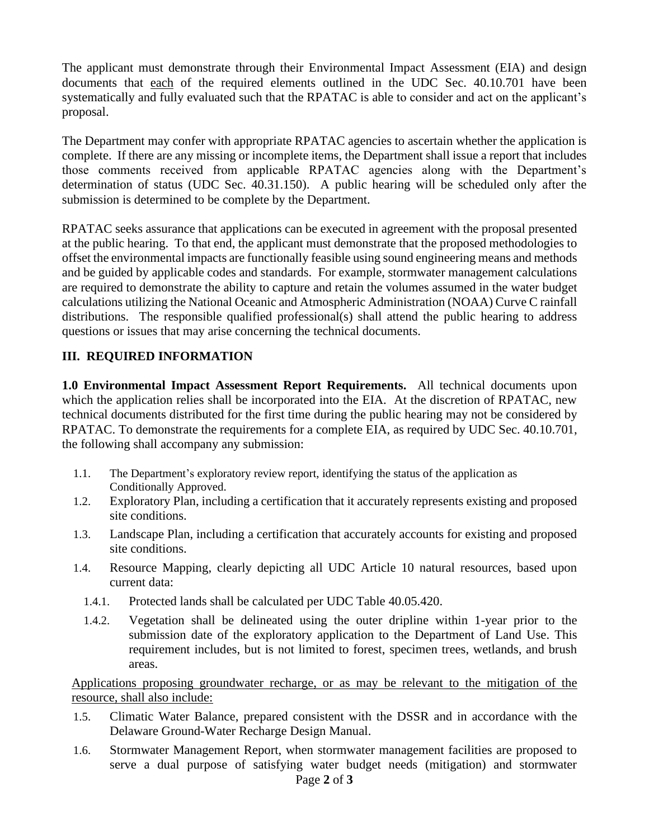The applicant must demonstrate through their Environmental Impact Assessment (EIA) and design documents that each of the required elements outlined in the UDC Sec. 40.10.701 have been systematically and fully evaluated such that the RPATAC is able to consider and act on the applicant's proposal.

The Department may confer with appropriate RPATAC agencies to ascertain whether the application is complete. If there are any missing or incomplete items, the Department shall issue a report that includes those comments received from applicable RPATAC agencies along with the Department's determination of status (UDC Sec. 40.31.150). A public hearing will be scheduled only after the submission is determined to be complete by the Department.

RPATAC seeks assurance that applications can be executed in agreement with the proposal presented at the public hearing. To that end, the applicant must demonstrate that the proposed methodologies to offset the environmental impacts are functionally feasible using sound engineering means and methods and be guided by applicable codes and standards. For example, stormwater management calculations are required to demonstrate the ability to capture and retain the volumes assumed in the water budget calculations utilizing the National Oceanic and Atmospheric Administration (NOAA) Curve C rainfall distributions. The responsible qualified professional(s) shall attend the public hearing to address questions or issues that may arise concerning the technical documents.

## **III. REQUIRED INFORMATION**

**1.0 Environmental Impact Assessment Report Requirements.** All technical documents upon which the application relies shall be incorporated into the EIA. At the discretion of RPATAC, new technical documents distributed for the first time during the public hearing may not be considered by RPATAC. To demonstrate the requirements for a complete EIA, as required by UDC Sec. 40.10.701, the following shall accompany any submission:

- 1.1. The Department's exploratory review report, identifying the status of the application as Conditionally Approved.
- 1.2. Exploratory Plan, including a certification that it accurately represents existing and proposed site conditions.
- 1.3. Landscape Plan, including a certification that accurately accounts for existing and proposed site conditions.
- 1.4. Resource Mapping, clearly depicting all UDC Article 10 natural resources, based upon current data:
	- 1.4.1. Protected lands shall be calculated per UDC Table 40.05.420.
	- 1.4.2. Vegetation shall be delineated using the outer dripline within 1-year prior to the submission date of the exploratory application to the Department of Land Use. This requirement includes, but is not limited to forest, specimen trees, wetlands, and brush areas.

Applications proposing groundwater recharge, or as may be relevant to the mitigation of the resource, shall also include:

- 1.5. Climatic Water Balance, prepared consistent with the DSSR and in accordance with the Delaware Ground-Water Recharge Design Manual.
- 1.6. Stormwater Management Report, when stormwater management facilities are proposed to serve a dual purpose of satisfying water budget needs (mitigation) and stormwater